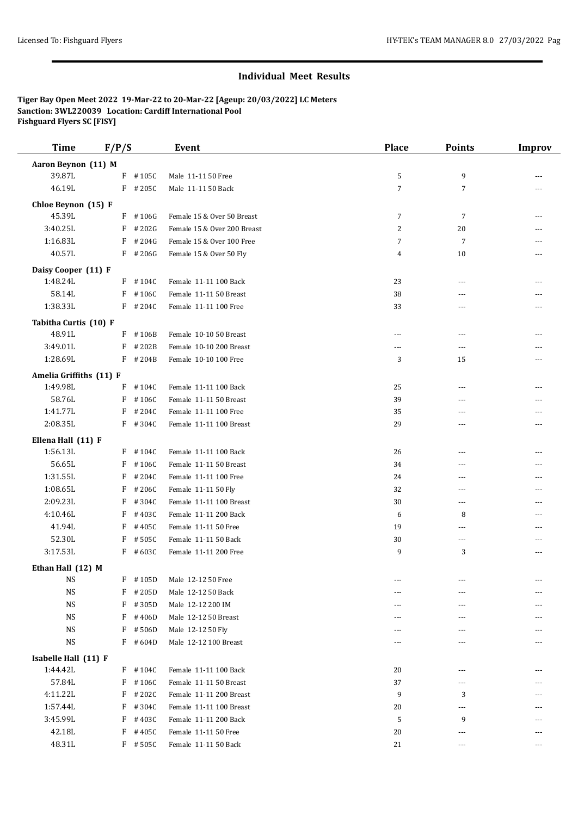## **Individual Meet Results**

**Tiger Bay Open Meet 2022 19-Mar-22 to 20-Mar-22 [Ageup: 20/03/2022] LC Meters Sanction: 3WL220039 Location: Cardiff International Pool Fishguard Flyers SC [FISY]**

| <b>Time</b>                      | F/P/S |            | <b>Event</b>                | <b>Place</b>   | <b>Points</b>  | <b>Improv</b>  |
|----------------------------------|-------|------------|-----------------------------|----------------|----------------|----------------|
| Aaron Beynon (11) M              |       |            |                             |                |                |                |
| 39.87L                           |       | $F$ #105C  | Male 11-11 50 Free          | 5              | 9              |                |
| 46.19L                           |       | $F$ # 205C | Male 11-11 50 Back          | $\overline{7}$ | 7              | ---            |
|                                  |       |            |                             |                |                |                |
| Chloe Beynon (15) F              |       |            |                             |                |                |                |
| 45.39L                           |       | $F$ #106G  | Female 15 & Over 50 Breast  | $\overline{7}$ | 7              |                |
| 3:40.25L                         |       | $F$ # 202G | Female 15 & Over 200 Breast | 2              | 20             |                |
| 1:16.83L                         | F     | #204G      | Female 15 & Over 100 Free   | $\overline{7}$ | 7              |                |
| 40.57L                           |       | $F$ # 206G | Female 15 & Over 50 Fly     | $\overline{4}$ | 10             | $---$          |
| Daisy Cooper (11) F              |       |            |                             |                |                |                |
| 1:48.24L                         |       | $F$ #104C  | Female 11-11 100 Back       | 23             | $\sim$ $\sim$  | ---            |
| 58.14L                           | F     | #106C      | Female 11-11 50 Breast      | 38             | ---            | $\overline{a}$ |
| 1:38.33L                         |       | $F$ # 204C | Female 11-11 100 Free       | 33             | $- - -$        | ---            |
| Tabitha Curtis (10) F            |       |            |                             |                |                |                |
| 48.91L                           |       | F #106B    | Female 10-10 50 Breast      | ---            | $---$          |                |
| 3:49.01L                         | F     | #202B      | Female 10-10 200 Breast     | ---            | ---            |                |
| 1:28.69L                         |       | $F$ # 204B | Female 10-10 100 Free       | 3              | 15             |                |
| Amelia Griffiths (11) F          |       |            |                             |                |                |                |
| 1:49.98L                         | F     | #104C      | Female 11-11 100 Back       | 25             | ---            |                |
| 58.76L                           | F     | #106C      | Female 11-11 50 Breast      | 39             | $\sim$ $\sim$  | $---$          |
| 1:41.77L                         | F     | #204C      | Female 11-11 100 Free       | 35             | ---            |                |
| 2:08.35L                         |       | $F$ #304C  | Female 11-11 100 Breast     | 29             | ---            | ---            |
|                                  |       |            |                             |                |                |                |
| Ellena Hall (11) F               |       |            |                             |                |                |                |
| 1:56.13L                         |       | $F$ #104C  | Female 11-11 100 Back       | 26             | $- - -$        |                |
| 56.65L                           | F     | #106C      | Female 11-11 50 Breast      | 34             | $- - -$        |                |
| 1:31.55L                         | F     | #204C      | Female 11-11 100 Free       | 24             | ---            |                |
| 1:08.65L                         | F     | #206C      | Female 11-11 50 Fly         | 32             | $\sim$ $\sim$  | $---$          |
| 2:09.23L                         | F     | #304C      | Female 11-11 100 Breast     | 30             | $---$          | ---            |
| 4:10.46L                         | F     | #403C      | Female 11-11 200 Back       | 6              | 8              | ---            |
| 41.94L                           | F     | #405C      | Female 11-11 50 Free        | 19             | $\overline{a}$ | $\overline{a}$ |
| 52.30L                           | F     | #505C      | Female 11-11 50 Back        | 30             | ---            |                |
| 3:17.53L                         |       | $F$ #603C  | Female 11-11 200 Free       | 9              | 3              | ---            |
| Ethan Hall (12) M                |       |            |                             |                |                |                |
| NS                               | F     | #105D      | Male 12-12 50 Free          | ---            | ---            |                |
| <b>NS</b>                        | F     | #205D      | Male 12-12 50 Back          | ---            | ---            |                |
| <b>NS</b>                        |       | $F$ #305D  | Male 12-12 200 IM           | ---            | $---$          |                |
| <b>NS</b>                        | F     | #406D      | Male 12-12 50 Breast        |                | ---            |                |
| <b>NS</b>                        | F     | #506D      | Male 12-12 50 Fly           |                | ---            |                |
| <b>NS</b>                        | F     | #604D      | Male 12-12 100 Breast       |                | ---            |                |
|                                  |       |            |                             |                |                |                |
| Isabelle Hall (11) F<br>1:44.42L |       | $F$ #104C  | Female 11-11 100 Back       | 20             | $---$          |                |
| 57.84L                           | F     | #106C      | Female 11-11 50 Breast      | 37             | ---            |                |
| 4:11.22L                         | F     | #202C      | Female 11-11 200 Breast     | 9              | 3              |                |
| 1:57.44L                         | F     |            |                             |                |                |                |
| 3:45.99L                         |       | #304C      | Female 11-11 100 Breast     | 20             | $---$          |                |
|                                  | F     | #403C      | Female 11-11 200 Back       | 5              | 9              | ---            |
| 42.18L                           | F     | #405C      | Female 11-11 50 Free        | 20             | ---            | ---            |
| 48.31L                           |       | $F$ #505C  | Female 11-11 50 Back        | 21             | ---            | ---            |